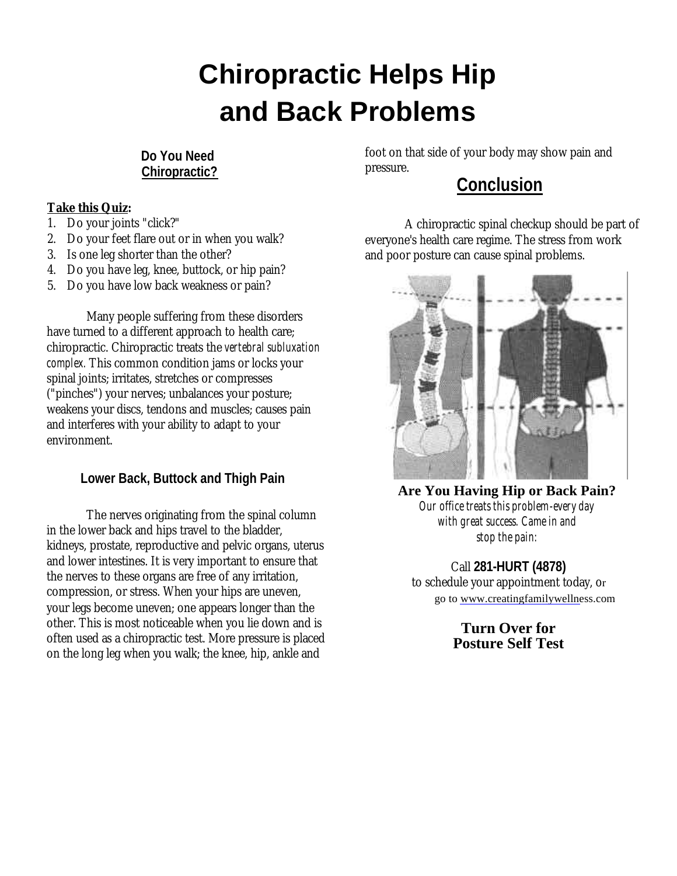## **Chiropractic Helps Hip and Back Problems**

**Do You Need Chiropractic?**

## **Take this Quiz:**

- 1. Do your joints "click?"
- 2. Do your feet flare out or in when you walk?
- 3. Is one leg shorter than the other?
- 4. Do you have leg, knee, buttock, or hip pain?
- 5. Do you have low back weakness or pain?

Many people suffering from these disorders have turned to a different approach to health care; chiropractic. Chiropractic treats the *vertebral subluxation complex.* This common condition jams or locks your spinal joints; irritates, stretches or compresses ("pinches") your nerves; unbalances your posture; weakens your discs, tendons and muscles; causes pain and interferes with your ability to adapt to your environment.

## **Lower Back, Buttock and Thigh Pain**

The nerves originating from the spinal column in the lower back and hips travel to the bladder, kidneys, prostate, reproductive and pelvic organs, uterus and lower intestines. It is very important to ensure that the nerves to these organs are free of any irritation, compression, or stress. When your hips are uneven, your legs become uneven; one appears longer than the other. This is most noticeable when you lie down and is often used as a chiropractic test. More pressure is placed on the long leg when you walk; the knee, hip, ankle and

foot on that side of your body may show pain and pressure.

## **Conclusion**

A chiropractic spinal checkup should be part of everyone's health care regime. The stress from work and poor posture can cause spinal problems.



**Are You Having Hip or Back Pain?** *Our office treats this problem-every day with great success. Came in and stop the pain:*

Call **281-HURT (4878)** to schedule your appointment today, or go to www.creatingfamilywellness.com

> **Turn Over for Posture Self Test**